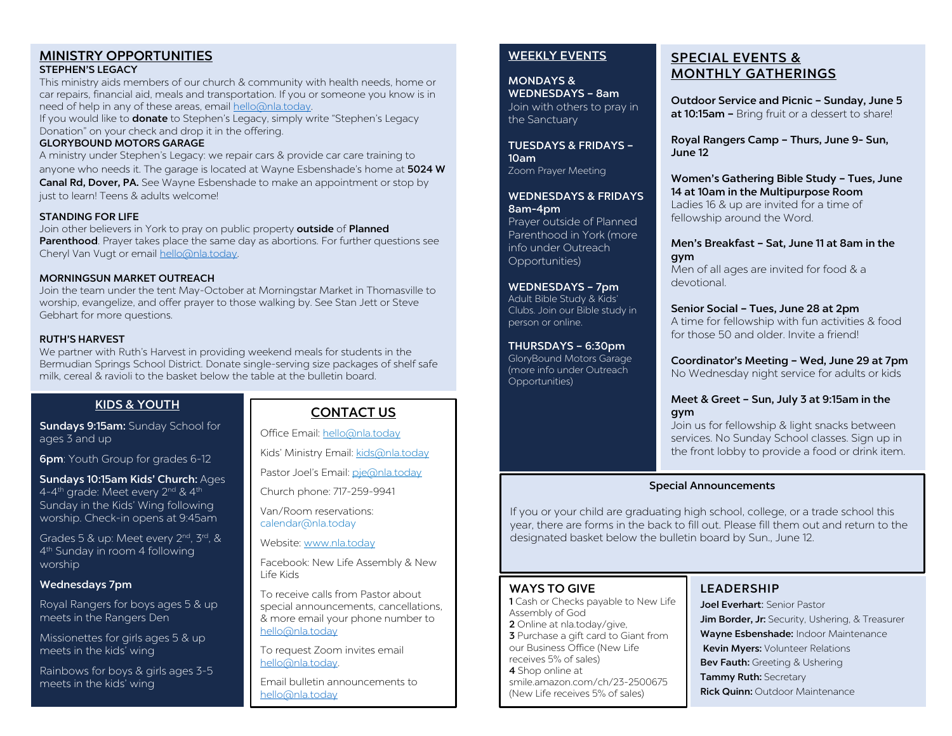#### MINISTRY OPPORTUNITIES STEPHEN'S LEGACY

This ministry aids members of our church & community with health needs, home or car repairs, financial aid, meals and transportation. If you or someone you know is in need of help in any of these areas, email [hello@nla.today.](mailto:hello@nla.today) 

If you would like to **donate** to Stephen's Legacy, simply write "Stephen's Legacy Donation" on your check and drop it in the offering.

#### GLORYBOUND MOTORS GARAGE

A ministry under Stephen's Legacy: we repair cars & provide car care training to anyone who needs it. The garage is located at Wayne Esbenshade's home at 5024 W Canal Rd, Dover, PA. See Wayne Esbenshade to make an appointment or stop by just to learn! Teens & adults welcome!

#### STANDING FOR LIFE

Join other believers in York to pray on public property outside of Planned Parenthood. Prayer takes place the same day as abortions. For further questions see Cheryl Van Vugt or email [hello@nla.today.](mailto:hello@nla.today) 

#### MORNINGSUN MARKET OUTREACH

Join the team under the tent May-October at Morningstar Market in Thomasville to worship, evangelize, and offer prayer to those walking by. See Stan Jett or Steve Gebhart for more questions.

#### RUTH'S HARVEST

We partner with Ruth's Harvest in providing weekend meals for students in the Bermudian Springs School District. Donate single-serving size packages of shelf safe milk, cereal & ravioli to the basket below the table at the bulletin board.

#### KIDS & YOUTH

Sundays 9:15am: Sunday School for ages 3 and up

**6pm**: Youth Group for grades 6-12

Sundays 10:15am Kids' Church: Ages 4-4<sup>th</sup> grade: Meet every 2<sup>nd</sup> & 4<sup>th</sup> Sunday in the Kids' Wing following worship. Check-in opens at 9:45am

Grades 5 & up: Meet every 2<sup>nd</sup>, 3<sup>rd</sup>, & 4th Sunday in room 4 following worship

#### Wednesdays 7pm

Royal Rangers for boys ages 5 & up meets in the Rangers Den

Missionettes for girls ages 5 & up meets in the kids' wing

Rainbows for boys & girls ages 3-5 meets in the kids' wing

# CONTACT US

Office Email[: hello@nla.today](mailto:hello@nla.today)

Kids' Ministry Email[: kids@nla.today](mailto:kids@nla.today)

Pastor Joel's Email: [pje@nla.today](mailto:pje@nla.today)

Church phone: 717-259-9941

Van/Room reservations: calendar@nla.today

Website: [www.nla.today](http://www.nla.today/)

Facebook: New Life Assembly & New Life Kids

To receive calls from Pastor about special announcements, cancellations, & more email your phone number to [hello@nla.today](mailto:hello@nla.today)

To request Zoom invites email [hello@nla.today.](mailto:hello@nla.today) 

Email bulletin announcements to [hello@nla.today](mailto:hello@nla.today)

#### WEEKLY EVENTS

MONDAYS & WEDNESDAYS – 8am Join with others to pray in the Sanctuary

TUESDAYS & FRIDAYS – 10am Zoom Prayer Meeting

WEDNESDAYS & FRIDAYS 8am-4pm

Prayer outside of Planned Parenthood in York (more info under Outreach Opportunities)

WEDNESDAYS – 7pm Adult Bible Study & Kids'

Clubs. Join our Bible study in person or online.

THURSDAYS – 6:30pm

GloryBound Motors Garage (more info under Outreach Opportunities)

# SPECIAL EVENTS & MONTHLY GATHERINGS

Outdoor Service and Picnic – Sunday, June 5 at 10:15am - Bring fruit or a dessert to share!

Royal Rangers Camp – Thurs, June 9- Sun, June 12

Women's Gathering Bible Study – Tues, June 14 at 10am in the Multipurpose Room Ladies 16 & up are invited for a time of fellowship around the Word.

Men's Breakfast – Sat, June 11 at 8am in the gym

Men of all ages are invited for food & a devotional.

# Senior Social – Tues, June 28 at 2pm

A time for fellowship with fun activities & food for those 50 and older. Invite a friendl

Coordinator's Meeting – Wed, June 29 at 7pm No Wednesday night service for adults or kids

#### Meet & Greet – Sun, July 3 at 9:15am in the gym

Join us for fellowship & light snacks between services. No Sunday School classes. Sign up in the front lobby to provide a food or drink item.

#### Special Announcements

If you or your child are graduating high school, college, or a trade school this year, there are forms in the back to fill out. Please fill them out and return to the designated basket below the bulletin board by Sun., June 12.

### WAYS TO GIVE

1 Cash or Checks payable to New Life Assembly of God 2 Online at nla.today/give, 3 Purchase a gift card to Giant from our Business Office (New Life receives 5% of sales) 4 Shop online at smile.amazon.com/ch/23-2500675 (New Life receives 5% of sales)

# LEADERSHIP

Joel Everhart: Senior Pastor Jim Border, Jr: Security, Ushering, & Treasurer Wayne Esbenshade: Indoor Maintenance Kevin Myers: Volunteer Relations Bev Fauth: Greeting & Ushering Tammy Ruth: Secretary **Rick Quinn: Outdoor Maintenance**